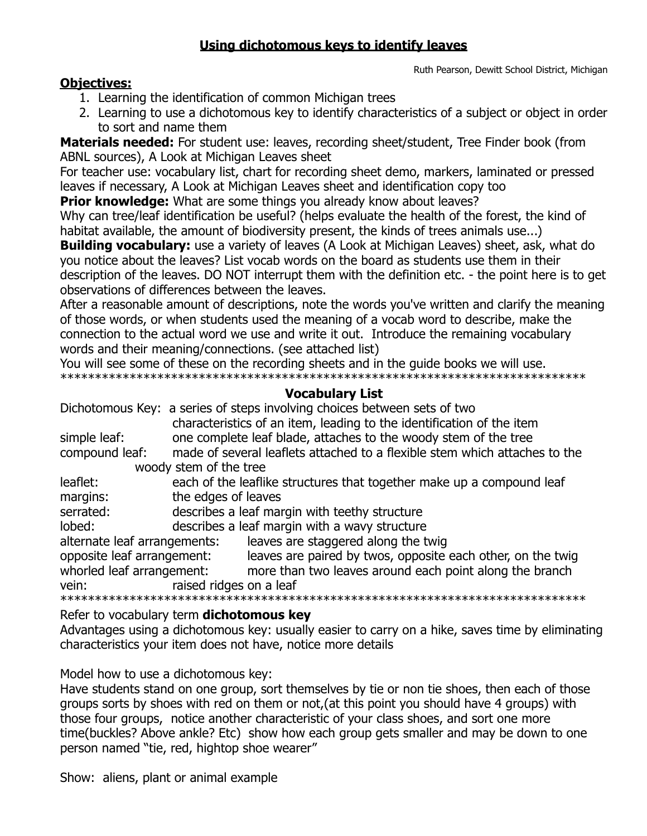## **Using dichotomous keys to identify leaves**

Ruth Pearson, Dewitt School District, Michigan

#### **Objectives:**

- 1. Learning the identification of common Michigan trees
- 2. Learning to use a dichotomous key to identify characteristics of a subject or object in order to sort and name them

**Materials needed:** For student use: leaves, recording sheet/student, Tree Finder book (from ABNL sources), A Look at Michigan Leaves sheet

For teacher use: vocabulary list, chart for recording sheet demo, markers, laminated or pressed leaves if necessary, A Look at Michigan Leaves sheet and identification copy too

**Prior knowledge:** What are some things you already know about leaves?

Why can tree/leaf identification be useful? (helps evaluate the health of the forest, the kind of habitat available, the amount of biodiversity present, the kinds of trees animals use...)

**Building vocabulary:** use a variety of leaves (A Look at Michigan Leaves) sheet, ask, what do you notice about the leaves? List vocab words on the board as students use them in their description of the leaves. DO NOT interrupt them with the definition etc. - the point here is to get observations of differences between the leaves.

After a reasonable amount of descriptions, note the words you've written and clarify the meaning of those words, or when students used the meaning of a vocab word to describe, make the connection to the actual word we use and write it out. Introduce the remaining vocabulary words and their meaning/connections. (see attached list)

You will see some of these on the recording sheets and in the guide books we will use. \*\*\*\*\*\*\*\*\*\*\*\*\*\*\*\*\*\*\*\*\*\*\*\*\*\*\*\*\*\*\*\*\*\*\*\*\*\*\*\*\*\*\*\*\*\*\*\*\*\*\*\*\*\*\*\*\*\*\*\*\*\*\*\*\*\*\*\*\*\*\*\*\*\*\*\*

### **Vocabulary List**

|                              |                                                                            | Dichotomous Key: a series of steps involving choices between sets of two |  |
|------------------------------|----------------------------------------------------------------------------|--------------------------------------------------------------------------|--|
|                              |                                                                            | characteristics of an item, leading to the identification of the item    |  |
| simple leaf:                 | one complete leaf blade, attaches to the woody stem of the tree            |                                                                          |  |
| compound leaf:               | made of several leaflets attached to a flexible stem which attaches to the |                                                                          |  |
| woody stem of the tree       |                                                                            |                                                                          |  |
| leaflet:                     | each of the leaflike structures that together make up a compound leaf      |                                                                          |  |
| margins:                     | the edges of leaves                                                        |                                                                          |  |
| serrated:                    | describes a leaf margin with teethy structure                              |                                                                          |  |
| lobed:                       | describes a leaf margin with a wavy structure                              |                                                                          |  |
| alternate leaf arrangements: |                                                                            | leaves are staggered along the twig                                      |  |
| opposite leaf arrangement:   |                                                                            | leaves are paired by twos, opposite each other, on the twig              |  |
| whorled leaf arrangement:    |                                                                            | more than two leaves around each point along the branch                  |  |
| vein:                        | raised ridges on a leaf                                                    |                                                                          |  |
|                              |                                                                            |                                                                          |  |

Refer to vocabulary term **dichotomous key**

Advantages using a dichotomous key: usually easier to carry on a hike, saves time by eliminating characteristics your item does not have, notice more details

Model how to use a dichotomous key:

Have students stand on one group, sort themselves by tie or non tie shoes, then each of those groups sorts by shoes with red on them or not,(at this point you should have 4 groups) with those four groups, notice another characteristic of your class shoes, and sort one more time(buckles? Above ankle? Etc) show how each group gets smaller and may be down to one person named "tie, red, hightop shoe wearer"

Show: aliens, plant or animal example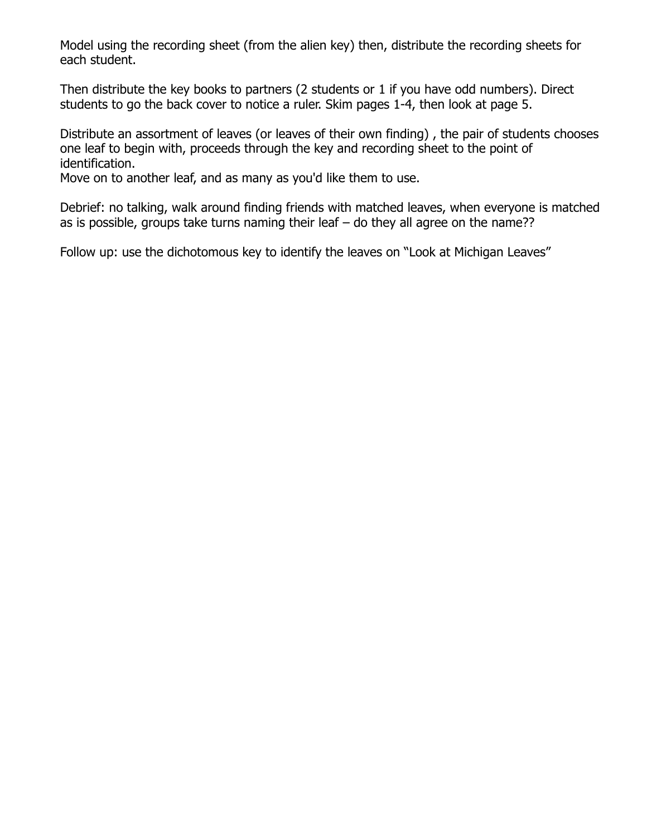Model using the recording sheet (from the alien key) then, distribute the recording sheets for each student.

Then distribute the key books to partners (2 students or 1 if you have odd numbers). Direct students to go the back cover to notice a ruler. Skim pages 1-4, then look at page 5.

Distribute an assortment of leaves (or leaves of their own finding) , the pair of students chooses one leaf to begin with, proceeds through the key and recording sheet to the point of identification.

Move on to another leaf, and as many as you'd like them to use.

Debrief: no talking, walk around finding friends with matched leaves, when everyone is matched as is possible, groups take turns naming their leaf – do they all agree on the name??

Follow up: use the dichotomous key to identify the leaves on "Look at Michigan Leaves"